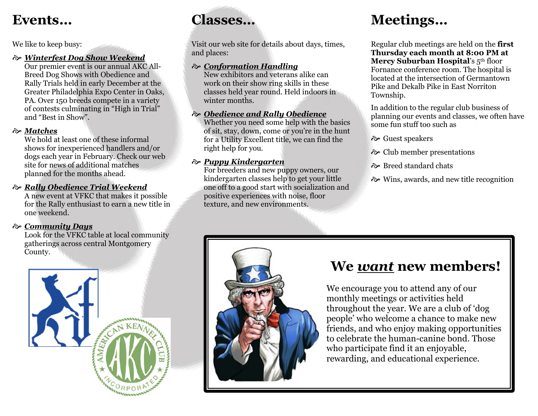### **Events…**

We like to keep busy:

#### *Winterfest Dog Show Weekend*

Our premier event is our annual AKC All-Breed Dog Shows with Obedience and Rally Trials held in early December at the Greater Philadelphia Expo Center in Oaks, PA. Over 150 breeds compete in a variety of contests culminating in "High in Trial" and "Best in Show".

#### *Matches*

We hold at least one of these informal shows for inexperienced handlers and/or dogs each year in February. Check our web site for news of additional matches planned for the months ahead.

#### *Rally Obedience Trial Weekend*

A new event at VFKC that makes it possible for the Rally enthusiast to earn a new title in one weekend.

#### *Community Days*

Look for the VFKC table at local community gatherings across central Montgomery County.



## **Classes…**

Visit our web site for details about days, times, and places:

#### *Conformation Handling*

New exhibitors and veterans alike can work on their show ring skills in these classes held year round. Held indoors in winter months.

#### *Obedience and Rally Obedience*

Whether you need some help with the basics of sit, stay, down, come or you're in the hunt for a Utility Excellent title, we can find the right help for you.

#### *Puppy Kindergarten*

For breeders and new puppy owners, our kindergarten classes help to get your little one off to a good start with socialization and positive experiences with noise, floor texture, and new environments.

## **Meetings…**

Regular club meetings are held on the **first Thursday each month at 8:00 PM at Mercy Suburban Hospital's 5th floor** Fornance conference room. The hospital is located at the intersection of Germantown Pike and Dekalb Pike in East Norriton Township.

In addition to the regular club business of planning our events and classes, we often have some fun stuff too such as

Guest speakers

- Club member presentations
- Breed standard chats
- Wins, awards, and new title recognition



### **We** *want* **new members!**

We encourage you to attend any of our monthly meetings or activities held throughout the year. We are a club of 'dog people' who welcome a chance to make new friends, and who enjoy making opportunities to celebrate the human-canine bond. Those who participate find it an enjoyable, rewarding, and educational experience.